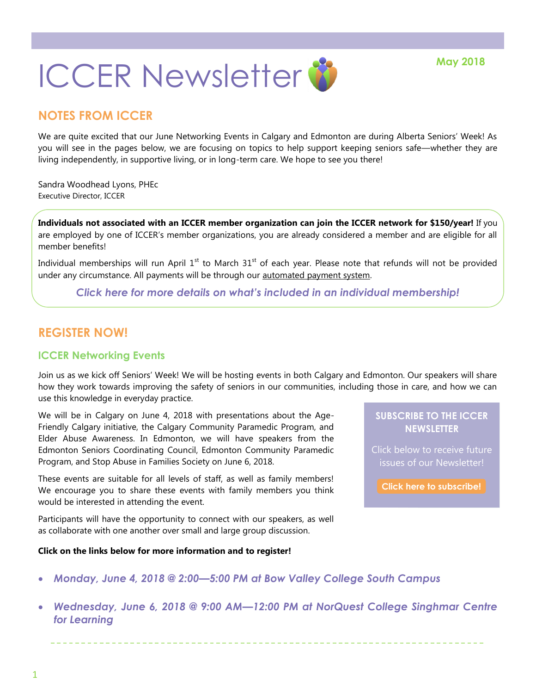

# **NOTES FROM ICCER**

We are quite excited that our June Networking Events in Calgary and Edmonton are during Alberta Seniors' Week! As you will see in the pages below, we are focusing on topics to help support keeping seniors safe—whether they are living independently, in supportive living, or in long-term care. We hope to see you there!

Sandra Woodhead Lyons, PHEc Executive Director, ICCER

**Individuals not associated with an ICCER member organization can join the ICCER network for \$150/year!** If you are employed by one of ICCER's member organizations, you are already considered a member and are eligible for all member benefits!

Individual memberships will run April  $1<sup>st</sup>$  to March  $31<sup>st</sup>$  of each year. Please note that refunds will not be provided under any circumstance. All payments will be through our automated payment system.

*[Click here for more details on what's included in an individual membership!](http://iccer.ca/im.html)*

## **REGISTER NOW!**

#### **ICCER Networking Events**

Join us as we kick off Seniors' Week! We will be hosting events in both Calgary and Edmonton. Our speakers will share how they work towards improving the safety of seniors in our communities, including those in care, and how we can use this knowledge in everyday practice.

We will be in Calgary on June 4, 2018 with presentations about the Age-Friendly Calgary initiative, the Calgary Community Paramedic Program, and Elder Abuse Awareness. In Edmonton, we will have speakers from the Edmonton Seniors Coordinating Council, Edmonton Community Paramedic Program, and Stop Abuse in Families Society on June 6, 2018.

These events are suitable for all levels of staff, as well as family members! We encourage you to share these events with family members you think would be interested in attending the event.

Participants will have the opportunity to connect with our speakers, as well as collaborate with one another over small and large group discussion.

#### **Click on the links below for more information and to register!**

#### **SUBSCRIBE TO THE ICCER NEWSLETTER**

Click below to receive future issues of our Newsletter!

**[Click here to subscribe!](https://visitor.r20.constantcontact.com/manage/optin?v=001MqUcqqvjwLD850nipaor0JfDCl8lWHPtLmDKE1oKVPadFtCKS64MCgzWnGgYOX6ySCwPrvn1SoXo9nCXIBnYp6cVIXF92mMQ7-obGrUeUfo%3D)**

- *Monday, June 4, 2018 @ 2:00—[5:00 PM at Bow Valley College South Campus](http://events.constantcontact.com/register/event?llr=hnncpkfab&oeidk=a07efbt37xsa3d3d1b0)*
- *Wednesday, June 6, 2018 @ 9:00 AM—[12:00 PM at NorQuest College Singhmar Centre](http://events.constantcontact.com/register/event?llr=hnncpkfab&oeidk=a07efaqrvk699d67b4c)  [for Learning](http://events.constantcontact.com/register/event?llr=hnncpkfab&oeidk=a07efaqrvk699d67b4c)*

1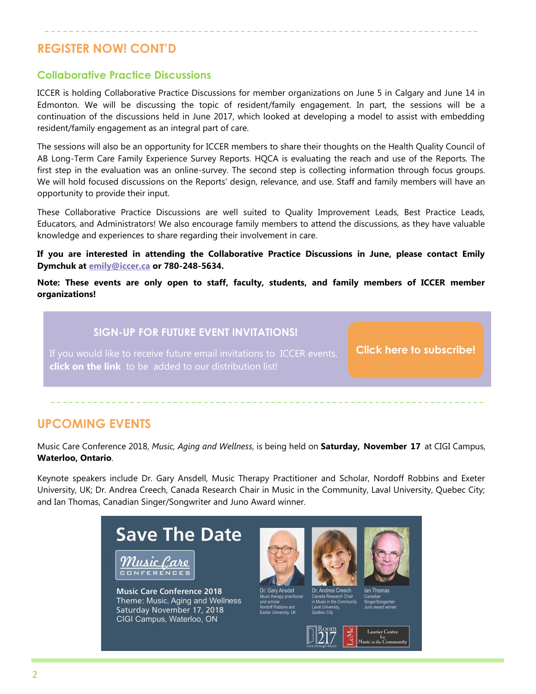## **REGISTER NOW! CONT'D**

#### **Collaborative Practice Discussions**

ICCER is holding Collaborative Practice Discussions for member organizations on June 5 in Calgary and June 14 in Edmonton. We will be discussing the topic of resident/family engagement. In part, the sessions will be a continuation of the discussions held in June 2017, which looked at developing a model to assist with embedding resident/family engagement as an integral part of care.

The sessions will also be an opportunity for ICCER members to share their thoughts on the Health Quality Council of AB Long-Term Care Family Experience Survey Reports. HQCA is evaluating the reach and use of the Reports. The first step in the evaluation was an online-survey. The second step is collecting information through focus groups. We will hold focused discussions on the Reports' design, relevance, and use. Staff and family members will have an opportunity to provide their input.

These Collaborative Practice Discussions are well suited to Quality Improvement Leads, Best Practice Leads, Educators, and Administrators! We also encourage family members to attend the discussions, as they have valuable knowledge and experiences to share regarding their involvement in care.

**If you are interested in attending the Collaborative Practice Discussions in June, please contact Emily Dymchuk at [emily@iccer.ca](mailto:emily@iccer.ca) or 780-248-5634.** 

**Note: These events are only open to staff, faculty, students, and family members of ICCER member organizations!**

### **SIGN-UP FOR FUTURE EVENT INVITATIONS!**

If you would like to receive future email invitations to ICCER events, **click on the link** to be added to our distribution list!

**[Click here to subscribe!](https://visitor.r20.constantcontact.com/manage/optin?v=001MqUcqqvjwLD850nipaor0HtdI1Y9d8ED2u9ivDzRV7Gp5uTyf2p54vfsufOQXL7BcGZnnLM-9yRAw3TIqncd_CNV4yZzfE9gE8XUs-KE6So%3D)**

### **UPCOMING EVENTS**

Music Care Conference 2018, *Music, Aging and Wellness*, is being held on **Saturday, November 17** at CIGI Campus, **Waterloo, Ontario**.

Keynote speakers include Dr. Gary Ansdell, Music Therapy Practitioner and Scholar, Nordoff Robbins and Exeter University, UK; Dr. Andrea Creech, Canada Research Chair in Music in the Community, Laval University, Quebec City; and Ian Thomas, Canadian Singer/Songwriter and Juno Award winner.

# **Save The Date**



**Music Care Conference 2018** Theme: Music, Aging and Wellness Saturday November 17, 2018 CIGI Campus, Waterloo, ON





da Re





 $\overline{2}$